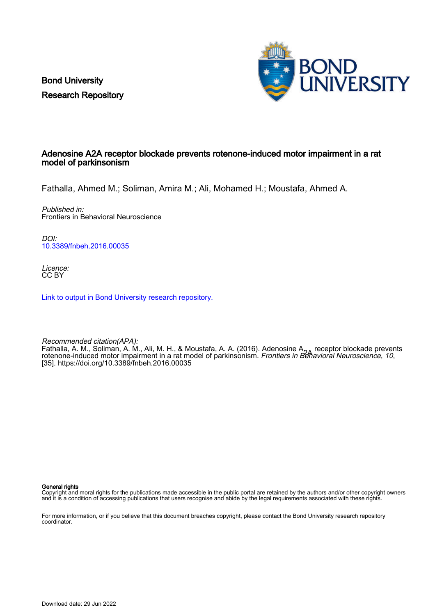Bond University Research Repository



## Adenosine A2A receptor blockade prevents rotenone-induced motor impairment in a rat model of parkinsonism

Fathalla, Ahmed M.; Soliman, Amira M.; Ali, Mohamed H.; Moustafa, Ahmed A.

Published in: Frontiers in Behavioral Neuroscience

DOI: [10.3389/fnbeh.2016.00035](https://doi.org/10.3389/fnbeh.2016.00035)

Licence: CC BY

[Link to output in Bond University research repository.](https://research.bond.edu.au/en/publications/ccb32422-d9db-415b-9fb7-bfd15998939e)

Recommended citation(APA): Fathalla, A. M., Soliman, A. M., Ali, M. H., & Moustafa, A. A. (2016). Adenosine A<sub>2A</sub> receptor blockade prevents<br>rotenone-induced motor impairment in a rat model of parkinsonism. *Frontiers in Behavioral Neuroscience, 10* [35].<https://doi.org/10.3389/fnbeh.2016.00035>

General rights

Copyright and moral rights for the publications made accessible in the public portal are retained by the authors and/or other copyright owners and it is a condition of accessing publications that users recognise and abide by the legal requirements associated with these rights.

For more information, or if you believe that this document breaches copyright, please contact the Bond University research repository coordinator.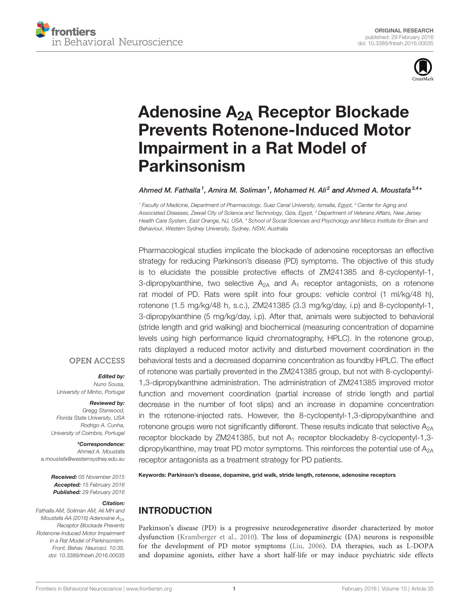



# Adenosine A2A [Receptor Blockade](http://journal.frontiersin.org/article/10.3389/fnbeh.2016.00035/abstract) [Prevents Rotenone-Induced Motor](http://journal.frontiersin.org/article/10.3389/fnbeh.2016.00035/abstract) [Impairment in a Rat Model of](http://journal.frontiersin.org/article/10.3389/fnbeh.2016.00035/abstract) [Parkinsonism](http://journal.frontiersin.org/article/10.3389/fnbeh.2016.00035/abstract)

Ahmed M. Fathalla<sup>1</sup>, Amira M. Soliman<sup>1</sup>, [Mohamed H. Ali](http://loop.frontiersin.org/people/291000/overview)<sup>2</sup> and [Ahmed A. Moustafa](http://loop.frontiersin.org/people/15417/overview)<sup>3,4</sup>\*

<sup>1</sup> Faculty of Medicine, Department of Pharmacology, Suez Canal University, Ismailia, Egypt, <sup>2</sup> Center for Aging and Associated Diseases, Zewail City of Science and Technology, Giza, Egypt, <sup>3</sup> Department of Veterans Affairs, New Jersey Health Care System, East Orange, NJ, USA, <sup>4</sup> School of Social Sciences and Psychology and Marcs Institute for Brain and Behaviour, Western Sydney University, Sydney, NSW, Australia

Pharmacological studies implicate the blockade of adenosine receptorsas an effective strategy for reducing Parkinson's disease (PD) symptoms. The objective of this study is to elucidate the possible protective effects of ZM241385 and 8-cyclopentyl-1, 3-dipropylxanthine, two selective  $A_{2A}$  and  $A_1$  receptor antagonists, on a rotenone rat model of PD. Rats were split into four groups: vehicle control (1 ml/kg/48 h), rotenone (1.5 mg/kg/48 h, s.c.), ZM241385 (3.3 mg/kg/day, i.p) and 8-cyclopentyl-1, 3-dipropylxanthine (5 mg/kg/day, i.p). After that, animals were subjected to behavioral (stride length and grid walking) and biochemical (measuring concentration of dopamine levels using high performance liquid chromatography, HPLC). In the rotenone group, rats displayed a reduced motor activity and disturbed movement coordination in the behavioral tests and a decreased dopamine concentration as foundby HPLC. The effect of rotenone was partially prevented in the ZM241385 group, but not with 8-cyclopentyl-1,3-dipropylxanthine administration. The administration of ZM241385 improved motor function and movement coordination (partial increase of stride length and partial decrease in the number of foot slips) and an increase in dopamine concentration in the rotenone-injected rats. However, the 8-cyclopentyl-1,3-dipropylxanthine and rotenone groups were not significantly different. These results indicate that selective  $A_{2A}$ receptor blockade by ZM241385, but not A<sup>1</sup> receptor blockadeby 8-cyclopentyl-1,3 dipropylxanthine, may treat PD motor symptoms. This reinforces the potential use of  $A_{2A}$ receptor antagonists as a treatment strategy for PD patients.

Keywords: Parkinson's disease, dopamine, grid walk, stride length, rotenone, adenosine receptors

# INTRODUCTION

Parkinson's disease (PD) is a progressive neurodegenerative disorder characterized by motor dysfunction [\(Kramberger et al., 2010\)](#page-5-0). The loss of dopaminergic (DA) neurons is responsible for the development of PD motor symptoms [\(Liu, 2006\)](#page-5-1). DA therapies, such as L-DOPA and dopamine agonists, either have a short half-life or may induce psychiatric side effects

#### **OPEN ACCESS**

#### Edited by:

Nuno Sousa, University of Minho, Portugal

#### Reviewed by:

Gregg Stanwood, Florida State University, USA Rodrigo A. Cunha, University of Coimbra, Portugal

\*Correspondence: Ahmed A. Moustafa [a.moustafa@westernsydney.edu.au](mailto:a.moustafa@westernsydney.edu.au)

> Received: 05 November 2015 Accepted: 15 February 2016 Published: 29 February 2016

#### Citation:

Fathalla AM, Soliman AM, Ali MH and Moustafa AA (2016) Adenosine  $A_{2A}$ Receptor Blockade Prevents Rotenone-Induced Motor Impairment in a Rat Model of Parkinsonism. Front. Behav. Neurosci. 10:35. [doi: 10.3389/fnbeh.2016.00035](http://dx.doi.org/10.3389/fnbeh.2016.00035)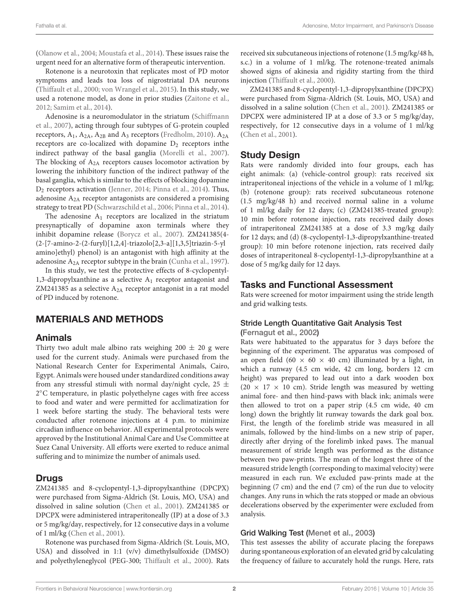[\(Olanow et al.,](#page-5-2) [2004;](#page-5-2) [Moustafa et al.,](#page-5-3) [2014\)](#page-5-3). These issues raise the urgent need for an alternative form of therapeutic intervention.

Rotenone is a neurotoxin that replicates most of PD motor symptoms and leads toa loss of nigrostriatal DA neurons [\(Thiffault et al.,](#page-5-4) [2000;](#page-5-4) [von Wrangel et al.,](#page-5-5) [2015\)](#page-5-5). In this study, we used a rotenone model, as done in prior studies [\(Zaitone et al.,](#page-5-6) [2012;](#page-5-6) [Samim et al.,](#page-5-7) [2014\)](#page-5-7).

Adenosine is a neuromodulator in the striatum [\(Schiffmann](#page-5-8) [et al.,](#page-5-8) [2007\)](#page-5-8), acting through four subtypes of G-protein coupled receptors,  $A_1$ ,  $A_{2A}$ ,  $A_{2B}$  and  $A_3$  receptors [\(Fredholm,](#page-5-9) [2010\)](#page-5-9).  $A_{2A}$ receptors are co-localized with dopamine  $D_2$  receptors inthe indirect pathway of the basal ganglia [\(Morelli et al.,](#page-5-10) [2007\)](#page-5-10). The blocking of  $A_{2A}$  receptors causes locomotor activation by lowering the inhibitory function of the indirect pathway of the basal ganglia, which is similar to the effects of blocking dopamine D<sup>2</sup> receptors activation [\(Jenner,](#page-5-11) [2014;](#page-5-11) [Pinna et al.,](#page-5-12) [2014\)](#page-5-12). Thus, adenosine A2A receptor antagonists are considered a promising strategy to treat PD [\(Schwarzschild et al.,](#page-5-13) [2006;](#page-5-13) [Pinna et al.,](#page-5-12) [2014\)](#page-5-12).

The adenosine  $A_1$  receptors are localized in the striatum presynaptically of dopamine axon terminals where they inhibit dopamine release [\(Borycz et al.,](#page-4-0) [2007\)](#page-4-0). ZM241385(4- (2-[7-amino-2-(2-furyl)[1,2,4]-triazolo[2,3-a][1,3,5]triazin-5-yl amino]ethyl) phenol) is an antagonist with high affinity at the adenosine A<sub>2A</sub> receptor subtype in the brain [\(Cunha et al.,](#page-4-1) [1997\)](#page-4-1).

In this study, we test the protective effects of 8-cyclopentyl-1,3-dipropylxanthine as a selective A<sup>1</sup> receptor antagonist and ZM241385 as a selective  $A_{2A}$  receptor antagonist in a rat model of PD induced by rotenone.

# MATERIALS AND METHODS

## Animals

Thirty two adult male albino rats weighing  $200 \pm 20$  g were used for the current study. Animals were purchased from the National Research Center for Experimental Animals, Cairo, Egypt. Animals were housed under standardized conditions away from any stressful stimuli with normal day/night cycle, 25  $\pm$ 2 ◦C temperature, in plastic polyethelyne cages with free access to food and water and were permitted for acclimatization for 1 week before starting the study. The behavioral tests were conducted after rotenone injections at 4 p.m. to minimize circadian influence on behavior. All experimental protocols were approved by the Institutional Animal Care and Use Committee at Suez Canal University. All efforts were exerted to reduce animal suffering and to minimize the number of animals used.

# **Drugs**

ZM241385 and 8-cyclopentyl-1,3-dipropylxanthine (DPCPX) were purchased from Sigma-Aldrich (St. Louis, MO, USA) and dissolved in saline solution [\(Chen et al.,](#page-4-2) [2001\)](#page-4-2). ZM241385 or DPCPX were administered intraperitoneally (IP) at a dose of 3.3 or 5 mg/kg/day, respectively, for 12 consecutive days in a volume of 1 ml/kg [\(Chen et al.,](#page-4-2) [2001\)](#page-4-2).

Rotenone was purchased from Sigma-Aldrich (St. Louis, MO, USA) and dissolved in 1:1 (v/v) dimethylsulfoxide (DMSO) and polyethyleneglycol (PEG-300; [Thiffault et al.,](#page-5-4) [2000\)](#page-5-4). Rats received six subcutaneous injections of rotenone (1.5 mg/kg/48 h, s.c.) in a volume of 1 ml/kg. The rotenone-treated animals showed signs of akinesia and rigidity starting from the third injection [\(Thiffault et al.,](#page-5-4) [2000\)](#page-5-4).

ZM241385 and 8-cyclopentyl-1,3-dipropylxanthine (DPCPX) were purchased from Sigma-Aldrich (St. Louis, MO, USA) and dissolved in a saline solution [\(Chen et al.,](#page-4-2) [2001\)](#page-4-2). ZM241385 or DPCPX were administered IP at a dose of 3.3 or 5 mg/kg/day, respectively, for 12 consecutive days in a volume of 1 ml/kg [\(Chen et al.,](#page-4-2) [2001\)](#page-4-2).

# Study Design

Rats were randomly divided into four groups, each has eight animals: (a) (vehicle-control group): rats received six intraperitoneal injections of the vehicle in a volume of 1 ml/kg; (b) (rotenone group): rats received subcutaneous rotenone (1.5 mg/kg/48 h) and received normal saline in a volume of 1 ml/kg daily for 12 days; (c) (ZM241385-treated group): 10 min before rotenone injection, rats received daily doses of intraperitoneal ZM241385 at a dose of 3.3 mg/kg daily for 12 days; and (d) (8-cyclopentyl-1,3-dipropylxanthine-treated group): 10 min before rotenone injection, rats received daily doses of intraperitoneal 8-cyclopentyl-1,3-dipropylxanthine at a dose of 5 mg/kg daily for 12 days.

# Tasks and Functional Assessment

Rats were screened for motor impairment using the stride length and grid walking tests.

## Stride Length Quantitative Gait Analysis Test

[\(Fernagut et al.,](#page-5-14) [2002\)](#page-5-14)

Rats were habituated to the apparatus for 3 days before the beginning of the experiment. The apparatus was composed of an open field (60  $\times$  60  $\times$  40 cm) illuminated by a light, in which a runway (4.5 cm wide, 42 cm long, borders 12 cm height) was prepared to lead out into a dark wooden box (20  $\times$  17  $\times$  10 cm). Stride length was measured by wetting animal fore- and then hind-paws with black ink; animals were then allowed to trot on a paper strip (4.5 cm wide, 40 cm long) down the brightly lit runway towards the dark goal box. First, the length of the forelimb stride was measured in all animals, followed by the hind-limbs on a new strip of paper, directly after drying of the forelimb inked paws. The manual measurement of stride length was performed as the distance between two paw-prints. The mean of the longest three of the measured stride length (corresponding to maximal velocity) were measured in each run. We excluded paw-prints made at the beginning (7 cm) and the end (7 cm) of the run due to velocity changes. Any runs in which the rats stopped or made an obvious decelerations observed by the experimenter were excluded from analysis.

## Grid Walking Test [\(Menet et al.,](#page-5-15) [2003\)](#page-5-15)

This test assesses the ability of accurate placing the forepaws during spontaneous exploration of an elevated grid by calculating the frequency of failure to accurately hold the rungs. Here, rats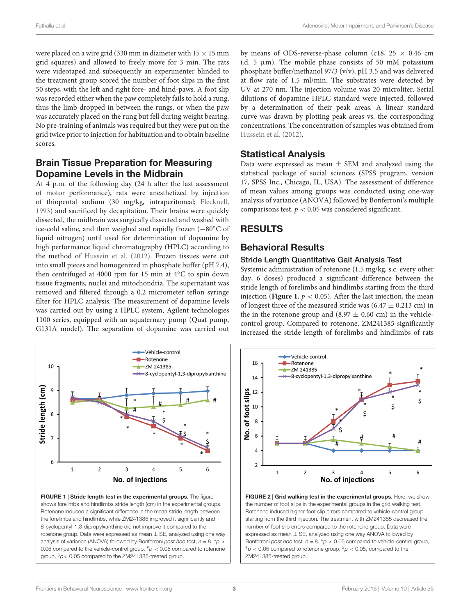were placed on a wire grid (330 mm in diameter with  $15 \times 15$  mm grid squares) and allowed to freely move for 3 min. The rats were videotaped and subsequently an experimenter blinded to the treatment group scored the number of foot slips in the first 50 steps, with the left and right fore- and hind-paws. A foot slip was recorded either when the paw completely fails to hold a rung, thus the limb dropped in between the rungs, or when the paw was accurately placed on the rung but fell during weight bearing. No pre-training of animals was required but they were put on the grid twice prior to injection for habituation and to obtain baseline scores.

# Brain Tissue Preparation for Measuring Dopamine Levels in the Midbrain

At 4 p.m. of the following day (24 h after the last assessment of motor performance), rats were anesthetized by injection of thiopental sodium (30 mg/kg, intraperitoneal; [Flecknell,](#page-5-16) [1993\)](#page-5-16) and sacrificed by decapitation. Their brains were quickly dissected, the midbrain was surgically dissected and washed with ice-cold saline, and then weighed and rapidly frozen (−80◦C of liquid nitrogen) until used for determination of dopamine by high performance liquid chromatography (HPLC) according to the method of [Hussein et al.](#page-5-17) [\(2012\)](#page-5-17). Frozen tissues were cut into small pieces and homogenized in phosphate buffer (pH 7.4), then centrifuged at 4000 rpm for 15 min at 4◦C to spin down tissue fragments, nuclei and mitochondria. The supernatant was removed and filtered through a 0.2 micrometer teflon syringe filter for HPLC analysis. The measurement of dopamine levels was carried out by using a HPLC system, Agilent technologies 1100 series, equipped with an aquaternary pump (Quat pump, G131A model). The separation of dopamine was carried out



<span id="page-3-0"></span>FIGURE 1 | Stride length test in the experimental groups. The figure shows forelimbs and hindlimbs stride length (cm) in the experimental groups. Rotenone induced a significant difference in the mean stride length between the forelimbs and hindlimbs, while ZM241385 improved it significantly and 8-cyclopentyl-1,3-dipropylxanthine did not improve it compared to the rotenone group. Data were expressed as mean  $\pm$  SE, analyzed using one way analysis of variance (ANOVA) followed by Bonferroni post hoc test,  $n = 8$ . \*p < 0.05 compared to the vehicle-control group,  $p \leq 0.05$  compared to rotenone group,  $p$  < 0.05 compared to the ZM241385-treated group.

by means of ODS-reverse-phase column (c18,  $25 \times 0.46$  cm i.d. 5  $\mu$ m). The mobile phase consists of 50 mM potassium phosphate buffer/methanol 97/3 (v/v), pH 3.5 and was delivered at flow rate of 1.5 ml/min. The substrates were detected by UV at 270 nm. The injection volume was 20 microliter. Serial dilutions of dopamine HPLC standard were injected, followed by a determination of their peak areas. A linear standard curve was drawn by plotting peak areas vs. the corresponding concentrations. The concentration of samples was obtained from [Hussein et al.](#page-5-17) [\(2012\)](#page-5-17).

# Statistical Analysis

Data were expressed as mean  $\pm$  SEM and analyzed using the statistical package of social sciences (SPSS program, version 17, SPSS Inc., Chicago, IL, USA). The assessment of difference of mean values among groups was conducted using one-way analysis of variance (ANOVA) followed by Bonferroni's multiple comparisons test.  $p < 0.05$  was considered significant.

# RESULTS

# Behavioral Results

## Stride Length Quantitative Gait Analysis Test

Systemic administration of rotenone (1.5 mg/kg, s.c. every other day, 6 doses) produced a significant difference between the stride length of forelimbs and hindlimbs starting from the third injection (**[Figure 1](#page-3-0)**,  $p < 0.05$ ). After the last injection, the mean of longest three of the measured stride was  $(6.47 \pm 0.213 \text{ cm})$  in the in the rotenone group and  $(8.97 \pm 0.60 \text{ cm})$  in the vehiclecontrol group. Compared to rotenone, ZM241385 significantly increased the stride length of forelimbs and hindlimbs of rats



<span id="page-3-1"></span>FIGURE 2 | Grid walking test in the experimental groups. Here, we show the number of foot slips in the experimental groups in the grid walking test. Rotenone induced higher foot slip errors compared to vehicle-control group starting from the third injection. The treatment with ZM241385 decreased the number of foot slip errors compared to the rotenone group. Data were expressed as mean  $\pm$  SE, analyzed using one way ANOVA followed by Bonferroni post hoc test.  $n = 8$ . \* $p < 0.05$  compared to vehicle-control group,  $^{#}p$  < 0.05 compared to rotenone group,  $^{\$}p$  < 0.05, compared to the ZM241385-treated group.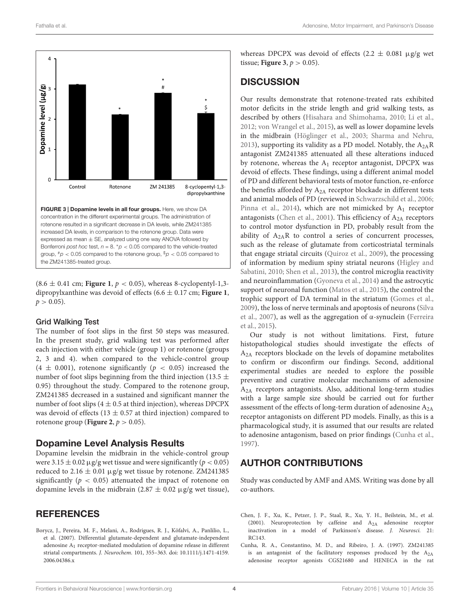

<span id="page-4-3"></span> $(8.6 \pm 0.41 \text{ cm}; \text{Figure 1}, p < 0.05)$  $(8.6 \pm 0.41 \text{ cm}; \text{Figure 1}, p < 0.05)$  $(8.6 \pm 0.41 \text{ cm}; \text{Figure 1}, p < 0.05)$ , whereas 8-cyclopentyl-1,3dipropylxanthine was devoid of effects (6.6 ± 0.17 cm; **[Figure 1](#page-3-0)**,  $p > 0.05$ ).

#### Grid Walking Test

The number of foot slips in the first 50 steps was measured. In the present study, grid walking test was performed after each injection with either vehicle (group 1) or rotenone (groups 2, 3 and 4). when compared to the vehicle-control group  $(4 \pm 0.001)$ , rotenone significantly  $(p < 0.05)$  increased the number of foot slips beginning from the third injection (13.5  $\pm$ 0.95) throughout the study. Compared to the rotenone group, ZM241385 decreased in a sustained and significant manner the number of foot slips ( $4 \pm 0.5$  at third injection), whereas DPCPX was devoid of effects (13  $\pm$  0.57 at third injection) compared to rotenone group (**[Figure 2](#page-3-1)**,  $p > 0.05$ ).

#### Dopamine Level Analysis Results

Dopamine levelsin the midbrain in the vehicle-control group were  $3.15 \pm 0.02 \,\mu$ g/g wet tissue and were significantly ( $p < 0.05$ ) reduced to 2.16  $\pm$  0.01 µg/g wet tissue by rotenone. ZM241385 significantly ( $p < 0.05$ ) attenuated the impact of rotenone on dopamine levels in the midbrain  $(2.87 \pm 0.02 \,\mu$ g/g wet tissue),

## **REFERENCES**

<span id="page-4-0"></span>Borycz, J., Pereira, M. F., Melani, A., Rodrigues, R. J., Köfalvi, A., Panlilio, L., et al. (2007). Differential glutamate-dependent and glutamate-independent adenosine A1 receptor-mediated modulation of dopamine release in different striatal compartments. J. Neurochem. 101, 355–363. doi: 10.1111/j.1471-4159. 2006.04386.x

whereas DPCPX was devoid of effects  $(2.2 \pm 0.081 \text{ µg/g} \text{ wet})$ tissue; **[Figure 3](#page-4-3)**,  $p > 0.05$ ).

## **DISCUSSION**

Our results demonstrate that rotenone-treated rats exhibited motor deficits in the stride length and grid walking tests, as described by others [\(Hisahara and Shimohama,](#page-5-18) [2010;](#page-5-18) [Li et al.,](#page-5-19) [2012;](#page-5-19) [von Wrangel et al.,](#page-5-5) [2015\)](#page-5-5), as well as lower dopamine levels in the midbrain [\(Höglinger et al.,](#page-5-20) [2003;](#page-5-20) [Sharma and Nehru,](#page-5-21) [2013\)](#page-5-21), supporting its validity as a PD model. Notably, the  $A_{2A}R$ antagonist ZM241385 attenuated all these alterations induced by rotenone, whereas the  $A_1$  receptor antagonist, DPCPX was devoid of effects. These findings, using a different animal model of PD and different behavioral tests of motor function, re-enforce the benefits afforded by  $A_{2A}$  receptor blockade in different tests and animal models of PD (reviewed in [Schwarzschild et al.,](#page-5-13) [2006;](#page-5-13) [Pinna et al.,](#page-5-12) [2014\)](#page-5-12), which are not mimicked by  $A_1$  receptor antagonists [\(Chen et al.,](#page-4-2) [2001\)](#page-4-2). This efficiency of  $A_{2A}$  receptors to control motor dysfunction in PD, probably result from the ability of  $A_{2A}R$  to control a series of concurrent processes, such as the release of glutamate from corticostriatal terminals that engage striatal circuits [\(Quiroz et al.,](#page-5-22) [2009\)](#page-5-22), the processing of information by medium spiny striatal neurons [\(Higley and](#page-5-23) [Sabatini,](#page-5-23) [2010;](#page-5-23) [Shen et al.,](#page-5-24) [2013\)](#page-5-24), the control microglia reactivity and neuroinflammation [\(Gyoneva et al.,](#page-5-25) [2014\)](#page-5-25) and the astrocytic support of neuronal function [\(Matos et al.,](#page-5-26) [2015\)](#page-5-26), the control the trophic support of DA terminal in the striatum [\(Gomes et al.,](#page-5-27) [2009\)](#page-5-27), the loss of nerve terminals and apoptosis of neurons [\(Silva](#page-5-28) [et al.,](#page-5-28) [2007\)](#page-5-28), as well as the aggregation of α-synuclein [\(Ferreira](#page-5-29) [et al.,](#page-5-29) [2015\)](#page-5-29).

Our study is not without limitations. First, future histopathological studies should investigate the effects of A2A receptors blockade on the levels of dopamine metabolites to confirm or disconfirm our findings. Second, additional experimental studies are needed to explore the possible preventive and curative molecular mechanisms of adenosine  $A_{2A}$  receptors antagonists. Also, additional long-term studies with a large sample size should be carried out for further assessment of the effects of long-term duration of adenosine A2A receptor antagonists on different PD models. Finally, as this is a pharmacological study, it is assumed that our results are related to adenosine antagonism, based on prior findings [\(Cunha et al.,](#page-4-1) [1997\)](#page-4-1).

#### AUTHOR CONTRIBUTIONS

Study was conducted by AMF and AMS. Writing was done by all co-authors.

- <span id="page-4-2"></span>Chen, J. F., Xu, K., Petzer, J. P., Staal, R., Xu, Y. H., Beilstein, M., et al. (2001). Neuroprotection by caffeine and A2A adenosine receptor inactivation in a model of Parkinson's disease. J. Neurosci. 21: RC143.
- <span id="page-4-1"></span>Cunha, R. A., Constantino, M. D., and Ribeiro, J. A. (1997). ZM241385 is an antagonist of the facilitatory responses produced by the A2A adenosine receptor agonists CGS21680 and HENECA in the rat